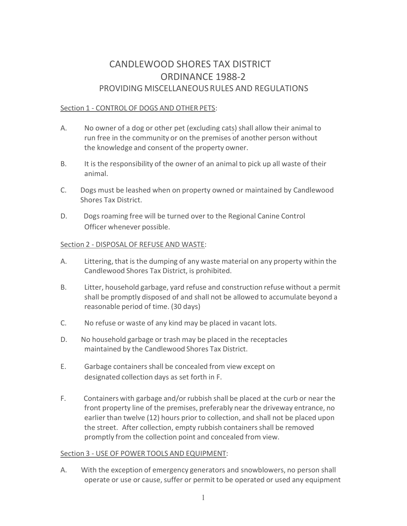# CANDLEWOOD SHORES TAX DISTRICT ORDINANCE 1988-2 PROVIDING MISCELLANEOUS RULES AND REGULATIONS

## Section 1 - CONTROL OF DOGS AND OTHER PETS:

- A. No owner of a dog or other pet (excluding cats) shall allow their animal to run free in the community or on the premises of another person without the knowledge and consent of the property owner.
- B. It is the responsibility of the owner of an animal to pick up all waste of their animal.
- C. Dogs must be leashed when on property owned or maintained by Candlewood Shores Tax District.
- D. Dogs roaming free will be turned over to the Regional Canine Control Officer whenever possible.

## Section 2 - DISPOSAL OF REFUSE AND WASTE:

- A. Littering, that is the dumping of any waste material on any property within the Candlewood Shores Tax District, is prohibited.
- B. Litter, household garbage, yard refuse and construction refuse without a permit shall be promptly disposed of and shall not be allowed to accumulate beyond a reasonable period of time. (30 days)
- C. No refuse or waste of any kind may be placed in vacant lots.
- D. No household garbage or trash may be placed in the receptacles maintained by the Candlewood Shores Tax District.
- E. Garbage containers shall be concealed from view except on designated collection days as set forth in F.
- F. Containers with garbage and/or rubbish shall be placed at the curb or near the front property line of the premises, preferably near the driveway entrance, no earlier than twelve (12) hours prior to collection, and shall not be placed upon the street. After collection, empty rubbish containers shall be removed promptly from the collection point and concealed from view.

### Section 3 - USE OF POWER TOOLS AND EQUIPMENT:

A. With the exception of emergency generators and snowblowers, no person shall operate or use or cause, suffer or permit to be operated or used any equipment